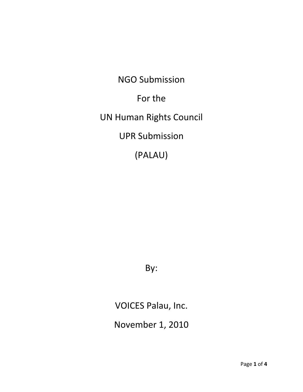NGO Submission For the UN Human Rights Council UPR Submission (PALAU)

By:

VOICES Palau, Inc.

November 1, 2010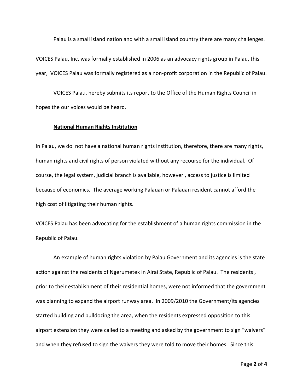Palau is a small island nation and with a small island country there are many challenges.

VOICES Palau, Inc. was formally established in 2006 as an advocacy rights group in Palau, this year, VOICES Palau was formally registered as a non‐profit corporation in the Republic of Palau.

VOICES Palau, hereby submits its report to the Office of the Human Rights Council in hopes the our voices would be heard.

### **National Human Rights Institution**

In Palau, we do not have a national human rights institution, therefore, there are many rights, human rights and civil rights of person violated without any recourse for the individual. Of course, the legal system, judicial branch is available, however , access to justice is limited because of economics. The average working Palauan or Palauan resident cannot afford the high cost of litigating their human rights.

VOICES Palau has been advocating for the establishment of a human rights commission in the Republic of Palau.

An example of human rights violation by Palau Government and its agencies is the state action against the residents of Ngerumetek in Airai State, Republic of Palau. The residents , prior to their establishment of their residential homes, were not informed that the government was planning to expand the airport runway area. In 2009/2010 the Government/its agencies started building and bulldozing the area, when the residents expressed opposition to this airport extension they were called to a meeting and asked by the government to sign "waivers" and when they refused to sign the waivers they were told to move their homes. Since this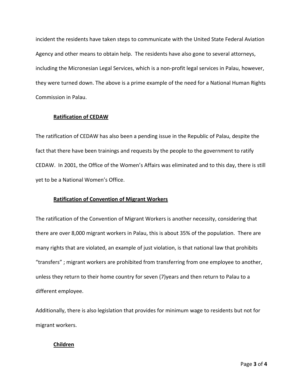incident the residents have taken steps to communicate with the United State Federal Aviation Agency and other means to obtain help. The residents have also gone to several attorneys, including the Micronesian Legal Services, which is a non‐profit legal services in Palau, however, they were turned down. The above is a prime example of the need for a National Human Rights Commission in Palau.

# **Ratification of CEDAW**

The ratification of CEDAW has also been a pending issue in the Republic of Palau, despite the fact that there have been trainings and requests by the people to the government to ratify CEDAW. In 2001, the Office of the Women's Affairs was eliminated and to this day, there is still yet to be a National Women's Office.

# **Ratification of Convention of Migrant Workers**

The ratification of the Convention of Migrant Workers is another necessity, considering that there are over 8,000 migrant workers in Palau, this is about 35% of the population. There are many rights that are violated, an example of just violation, is that national law that prohibits "transfers" ; migrant workers are prohibited from transferring from one employee to another, unless they return to their home country for seven (7)years and then return to Palau to a different employee.

Additionally, there is also legislation that provides for minimum wage to residents but not for migrant workers.

# **Children**